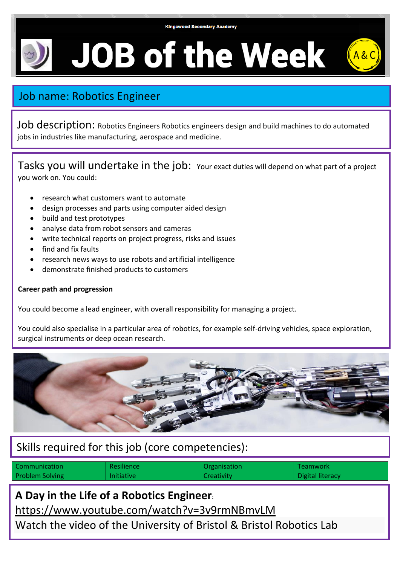

**JOB of the Week** 

## Job name: Robotics Engineer

Job description: Robotics Engineers Robotics engineers design and build machines to do automated jobs in industries like manufacturing, aerospace and medicine.

Tasks you will undertake in the job: Your exact duties will depend on what part of a project you work on. You could:

- research what customers want to automate
- design processes and parts using computer aided design
- build and test prototypes
- analyse data from robot sensors and cameras
- write technical reports on project progress, risks and issues
- find and fix faults
- research news ways to use robots and artificial intelligence
- demonstrate finished products to customers

## **Career path and progression**

You could become a lead engineer, with overall responsibility for managing a project.

You could also specialise in a particular area of robotics, for example self-driving vehicles, space exploration, surgical instruments or deep ocean research.



## Skills required for this job (core competencies):

| Communication          | Resilience        | Organisation | Teamwork         |
|------------------------|-------------------|--------------|------------------|
| <b>Problem Solving</b> | <b>Initiative</b> | Creativity   | Digital literacy |

**A Day in the Life of a Robotics Engineer**:

<https://www.youtube.com/watch?v=3v9rmNBmvLM>

Watch the video of the University of Bristol & Bristol Robotics Lab